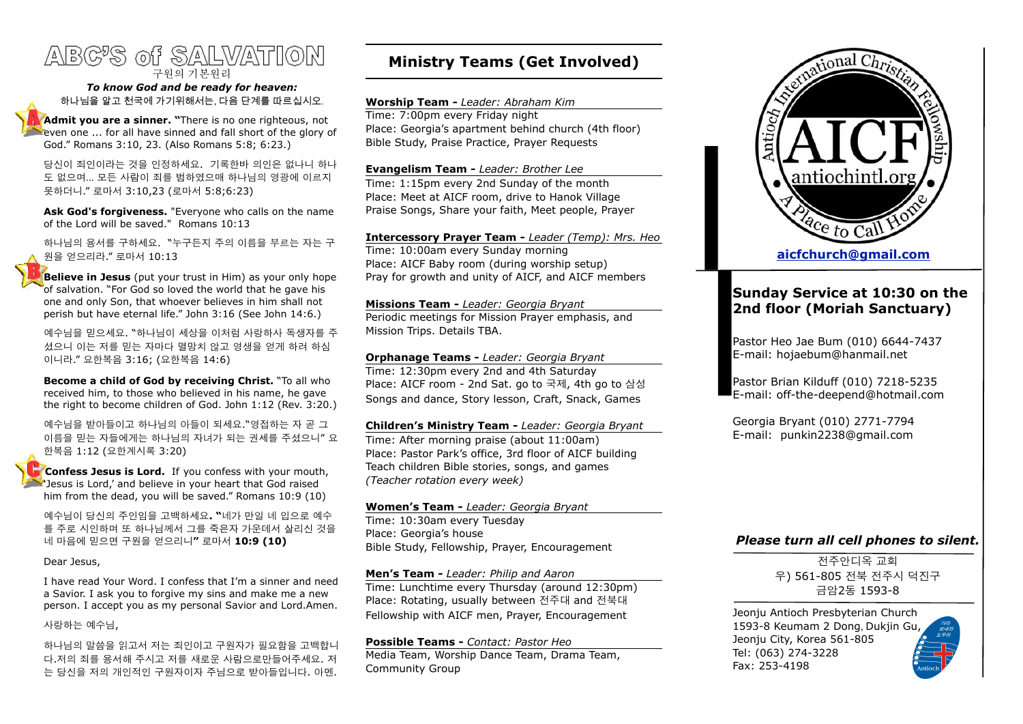# ABC'S of SALVATION 구원의 기본원리

#### *To know God and be ready for heaven:* 하나님을 알고 천국에 가기위해서는, 다음 단계를 따르십시오.

**Admit you are a sinner. "**There is no one righteous, not even one ... for all have sinned and fall short of the glory of God." Romans 3:10, 23. (Also Romans 5:8; 6:23.)

당신이 죄인이라는 것을 인정하세요. 기록한바 의인은 없나니 하나 도 없으며… 모든 사람이 죄를 범하였으매 하나님의 영광에 이르지 못하더니." 로마서 3:10,23 (로마서 5:8;6:23)

**Ask God's forgiveness.** "Everyone who calls on the name of the Lord will be saved." Romans 10:13

하나님의 용서를 구하세요. "누구든지 주의 이름을 부르는 자는 구 원을 얻으리라." 로마서 10:13

**Believe in Jesus** (put your trust in Him) as your only hope of salvation. "For God so loved the world that he gave his one and only Son, that whoever believes in him shall not perish but have eternal life." John 3:16 (See John 14:6.)

예수님을 믿으세요. "하나님이 세상을 이처럼 사랑하사 독생자를 주 셨으니 이는 저를 믿는 자마다 멸망치 않고 영생을 얻게 하려 하심 이니라." 요한복음 3:16; (요한복음 14:6)

**Become a child of God by receiving Christ.** "To all who received him, to those who believed in his name, he gave the right to become children of God. John 1:12 (Rev. 3:20.)

예수님을 받아들이고 하나님의 아들이 되세요."영접하는 자 곧 그 이름을 믿는 자들에게는 하나님의 자녀가 되는 권세를 주셨으니" 요 한복음 1:12 (요한계시록 3:20)

 **Confess Jesus is Lord.** If you confess with your mouth, 'Jesus is Lord,' and believe in your heart that God raised him from the dead, you will be saved." Romans 10:9 (10)

예수님이 당신의 주인임을 고백하세요**. "**네가 만일 네 입으로 예수 를 주로 시인하며 또 하나님께서 그를 죽은자 가운데서 살리신 것을 네 마음에 믿으면 구원을 얻으리니**"** 로마서 **10:9 (10)**

#### Dear Jesus,

I have read Your Word. I confess that I'm a sinner and need a Savior. I ask you to forgive my sins and make me a new person. I accept you as my personal Savior and Lord.Amen.

사랑하는 예수님,

하나님의 말씀을 읽고서 저는 죄인이고 구원자가 필요함을 고백합니 다.저의 죄를 용서해 주시고 저를 새로운 사람으로만들어주세요. 저 는 당신을 저의 개인적인 구원자이자 주님으로 받아들입니다. 아멘.

# **Ministry Teams (Get Involved)**

#### **Worship Team -** *Leader: Abraham Kim*

Time: 7:00pm every Friday night Place: Georgia's apartment behind church (4th floor) Bible Study, Praise Practice, Prayer Requests

#### **Evangelism Team -** *Leader: Brother Lee*

Time: 1:15pm every 2nd Sunday of the month Place: Meet at AICF room, drive to Hanok Village Praise Songs, Share your faith, Meet people, Prayer

# **Intercessory Prayer Team -** *Leader (Temp): Mrs. Heo* Time: 10:00am every Sunday morning

Place: AICF Baby room (during worship setup) Pray for growth and unity of AICF, and AICF members

#### **Missions Team -** *Leader: Georgia Bryant* Periodic meetings for Mission Prayer emphasis, and Mission Trips. Details TBA.

**Orphanage Teams -** *Leader: Georgia Bryant* Time: 12:30pm every 2nd and 4th Saturday Place: AICF room - 2nd Sat. go to 국제, 4th go to 삼성 Songs and dance, Story lesson, Craft, Snack, Games

#### **Children's Ministry Team -** *Leader: Georgia Bryant* Time: After morning praise (about 11:00am) Place: Pastor Park's office, 3rd floor of AICF building

Teach children Bible stories, songs, and games *(Teacher rotation every week)*

### **Women's Team -** *Leader: Georgia Bryant*

Time: 10:30am every Tuesday Place: Georgia's house Bible Study, Fellowship, Prayer, Encouragement

### **Men's Team** *- Leader: Philip and Aaron*

Time: Lunchtime every Thursday (around 12:30pm) Place: Rotating, usually between 전주대 and 전북대 Fellowship with AICF men, Prayer, Encouragement

### **Possible Teams -** *Contact: Pastor Heo*

Media Team, Worship Dance Team, Drama Team, Community Group



## **Sunday Service at 10:30 on the 2nd floor (Moriah Sanctuary)**

Pastor Heo Jae Bum (010) 6644-7437 E-mail: [hojaebum@hanmail.net](mailto:hojaebum@hanmail.net)

Pastor Brian Kilduff (010) 7218-5235 E-mail: [off-the-deepend@hotmail.com](mailto:off-the-deepend@hotmail.com)

Georgia Bryant (010) 2771-7794 E-mail: [punkin2238@gmail.com](mailto:punkin2238@gmail.com)

### *Please turn all cell phones to silent.*

전주안디옥 교회 우) 561-805 전북 전주시 덕진구 금암2동 1593-8

Jeonju Antioch Presbyterian Church 1593-8 Keumam 2 Dong, Dukjin Gu, Jeonju City, Korea 561-805 Tel: (063) 274-3228 Fax: 253-4198